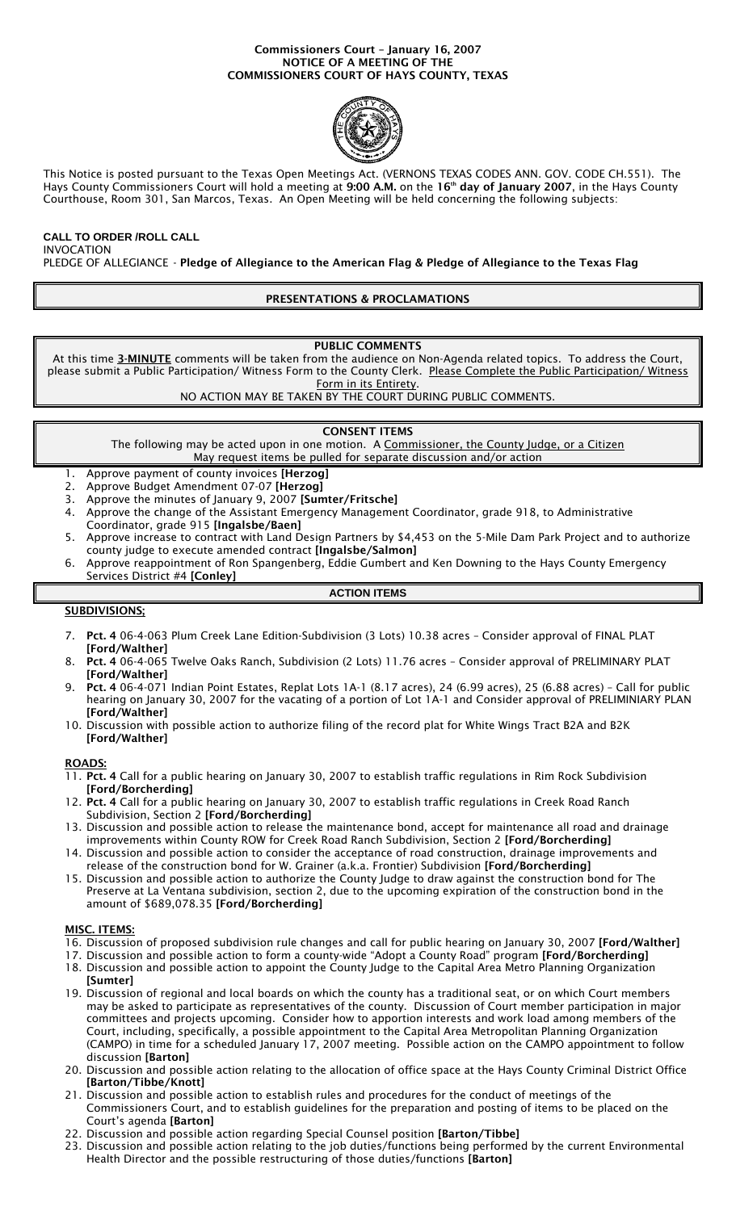#### Commissioners Court – January 16, 2007 NOTICE OF A MEETING OF THE COMMISSIONERS COURT OF HAYS COUNTY, TEXAS



This Notice is posted pursuant to the Texas Open Meetings Act. (VERNONS TEXAS CODES ANN. GOV. CODE CH.551). The Hays County Commissioners Court will hold a meeting at 9:00 A.M. on the 16<sup>th</sup> day of January 2007, in the Hays County Courthouse, Room 301, San Marcos, Texas. An Open Meeting will be held concerning the following subjects:

# **CALL TO ORDER /ROLL CALL**

INVOCATION

PLEDGE OF ALLEGIANCE - Pledge of Allegiance to the American Flag & Pledge of Allegiance to the Texas Flag

# PRESENTATIONS & PROCLAMATIONS

PUBLIC COMMENTS

At this time 3-MINUTE comments will be taken from the audience on Non-Agenda related topics. To address the Court, please submit a Public Participation/ Witness Form to the County Clerk. Please Complete the Public Participation/ Witness Form in its Entirety.

NO ACTION MAY BE TAKEN BY THE COURT DURING PUBLIC COMMENTS.

## CONSENT ITEMS

- The following may be acted upon in one motion. A Commissioner, the County Judge, or a Citizen May request items be pulled for separate discussion and/or action
- 
- 1. Approve payment of county invoices [Herzog]<br>2. Approve Budget Amendment 07-07 [Herzog] 2. Approve Budget Amendment 07-07 [Herzog]
- 3. Approve the minutes of January 9, 2007 [Sumter/Fritsche]
- 4. Approve the change of the Assistant Emergency Management Coordinator, grade 918, to Administrative
- Coordinator, grade 915 [Ingalsbe/Baen]
- 5. Approve increase to contract with Land Design Partners by \$4,453 on the 5-Mile Dam Park Project and to authorize county judge to execute amended contract [Ingalsbe/Salmon]
- 6. Approve reappointment of Ron Spangenberg, Eddie Gumbert and Ken Downing to the Hays County Emergency Services District #4 [Conley] **ACTION ITEMS**

# SUBDIVISIONS;

- 7. Pct. 4 06-4-063 Plum Creek Lane Edition-Subdivision (3 Lots) 10.38 acres Consider approval of FINAL PLAT [Ford/Walther]
- 8. Pct. 4 06-4-065 Twelve Oaks Ranch, Subdivision (2 Lots) 11.76 acres Consider approval of PRELIMINARY PLAT [Ford/Walther]
- 9. Pct. 4 06-4-071 Indian Point Estates, Replat Lots 1A-1 (8.17 acres), 24 (6.99 acres), 25 (6.88 acres) Call for public hearing on January 30, 2007 for the vacating of a portion of Lot 1A-1 and Consider approval of PRELIMINIARY PLAN [Ford/Walther]
- 10. Discussion with possible action to authorize filing of the record plat for White Wings Tract B2A and B2K [Ford/Walther]

ROADS:

- 11. Pct. 4 Call for a public hearing on January 30, 2007 to establish traffic regulations in Rim Rock Subdivision [Ford/Borcherding]
- 12. Pct. 4 Call for a public hearing on January 30, 2007 to establish traffic regulations in Creek Road Ranch Subdivision, Section 2 [Ford/Borcherding]
- 13. Discussion and possible action to release the maintenance bond, accept for maintenance all road and drainage improvements within County ROW for Creek Road Ranch Subdivision, Section 2 [Ford/Borcherding]
- 14. Discussion and possible action to consider the acceptance of road construction, drainage improvements and release of the construction bond for W. Grainer (a.k.a. Frontier) Subdivision [Ford/Borcherding]
- 15. Discussion and possible action to authorize the County Judge to draw against the construction bond for The Preserve at La Ventana subdivision, section 2, due to the upcoming expiration of the construction bond in the amount of \$689,078.35 [Ford/Borcherding]

#### MISC. ITEMS:

- 16. Discussion of proposed subdivision rule changes and call for public hearing on January 30, 2007 [Ford/Walther]
- 17. Discussion and possible action to form a county-wide "Adopt a County Road" program [Ford/Borcherding]
- 18. Discussion and possible action to appoint the County Judge to the Capital Area Metro Planning Organization [Sumter]
- 19. Discussion of regional and local boards on which the county has a traditional seat, or on which Court members may be asked to participate as representatives of the county. Discussion of Court member participation in major committees and projects upcoming. Consider how to apportion interests and work load among members of the Court, including, specifically, a possible appointment to the Capital Area Metropolitan Planning Organization (CAMPO) in time for a scheduled January 17, 2007 meeting. Possible action on the CAMPO appointment to follow discussion [Barton]
- 20. Discussion and possible action relating to the allocation of office space at the Hays County Criminal District Office [Barton/Tibbe/Knott]
- 21. Discussion and possible action to establish rules and procedures for the conduct of meetings of the Commissioners Court, and to establish guidelines for the preparation and posting of items to be placed on the Court's agenda [Barton]
- 22. Discussion and possible action regarding Special Counsel position [Barton/Tibbe]
- 23. Discussion and possible action relating to the job duties/functions being performed by the current Environmental Health Director and the possible restructuring of those duties/functions [Barton]